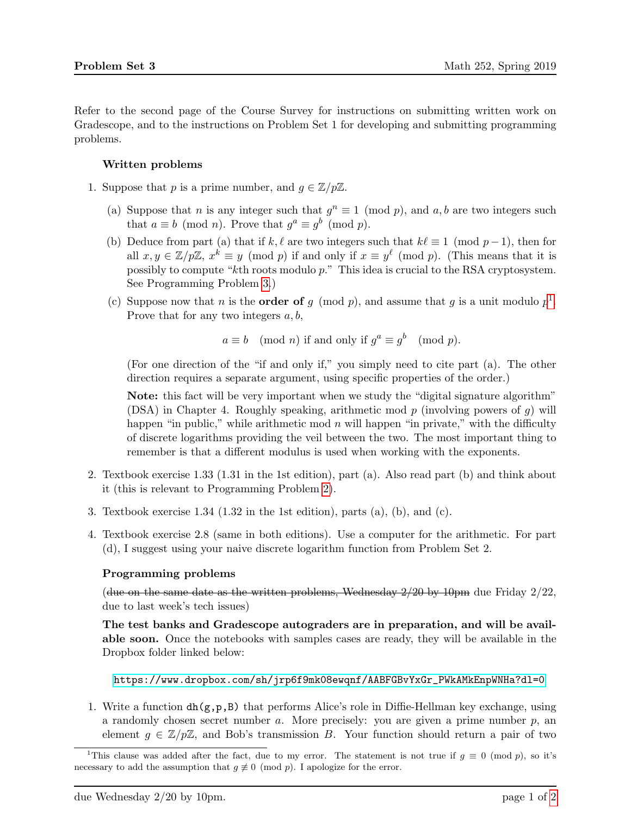Refer to the second page of the Course Survey for instructions on submitting written work on Gradescope, and to the instructions on Problem Set 1 for developing and submitting programming problems.

## Written problems

- <span id="page-0-2"></span>1. Suppose that p is a prime number, and  $g \in \mathbb{Z}/p\mathbb{Z}$ .
	- (a) Suppose that n is any integer such that  $g^n \equiv 1 \pmod{p}$ , and  $a, b$  are two integers such that  $a \equiv b \pmod{n}$ . Prove that  $g^a \equiv g^b \pmod{p}$ .
	- (b) Deduce from part (a) that if k,  $\ell$  are two integers such that  $k\ell \equiv 1 \pmod{p-1}$ , then for all  $x, y \in \mathbb{Z}/p\mathbb{Z}, x^k \equiv y \pmod{p}$  if and only if  $x \equiv y^{\ell} \pmod{p}$ . (This means that it is possibly to compute "kth roots modulo p." This idea is crucial to the RSA cryptosystem. See Programming Problem [3.](#page-1-0))
	- (c) Suppose now that n is the **order of** g (mod p), and assume that g is a unit modulo  $p^1$  $p^1$ . Prove that for any two integers  $a, b$ ,

$$
a \equiv b \pmod{n}
$$
 if and only if  $g^a \equiv g^b \pmod{p}$ .

(For one direction of the "if and only if," you simply need to cite part (a). The other direction requires a separate argument, using specific properties of the order.)

Note: this fact will be very important when we study the "digital signature algorithm" (DSA) in Chapter 4. Roughly speaking, arithmetic mod p (involving powers of q) will happen "in public," while arithmetic mod  $n$  will happen "in private," with the difficulty of discrete logarithms providing the veil between the two. The most important thing to remember is that a different modulus is used when working with the exponents.

- <span id="page-0-1"></span>2. Textbook exercise 1.33 (1.31 in the 1st edition), part (a). Also read part (b) and think about it (this is relevant to Programming Problem [2\)](#page-1-1).
- 3. Textbook exercise  $1.34$  ( $1.32$  in the 1st edition), parts (a), (b), and (c).
- 4. Textbook exercise 2.8 (same in both editions). Use a computer for the arithmetic. For part (d), I suggest using your naive discrete logarithm function from Problem Set 2.

## Programming problems

(due on the same date as the written problems, Wednesday  $2/20$  by 10pm due Friday  $2/22$ , due to last week's tech issues)

The test banks and Gradescope autograders are in preparation, and will be available soon. Once the notebooks with samples cases are ready, they will be available in the Dropbox folder linked below:

[https://www.dropbox.com/sh/jrp6f9mk08ewqnf/AABFGBvYxGr\\_PWkAMkEnpWNHa?dl=0](https://www.dropbox.com/sh/jrp6f9mk08ewqnf/AABFGBvYxGr_PWkAMkEnpWNHa?dl=0)

1. Write a function  $dh(g,p,B)$  that performs Alice's role in Diffie-Hellman key exchange, using a randomly chosen secret number  $a$ . More precisely: you are given a prime number  $p$ , an element  $q \in \mathbb{Z}/p\mathbb{Z}$ , and Bob's transmission B. Your function should return a pair of two

<span id="page-0-0"></span><sup>&</sup>lt;sup>1</sup>This clause was added after the fact, due to my error. The statement is not true if  $q \equiv 0 \pmod{p}$ , so it's necessary to add the assumption that  $g \neq 0 \pmod{p}$ . I apologize for the error.